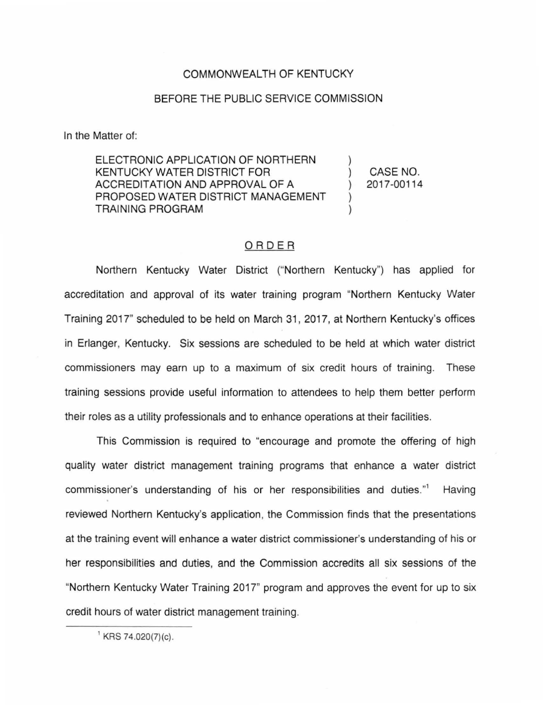## COMMONWEALTH OF KENTUCKY

## BEFORE THE PUBLIC SERVICE COMMISSION

In the Matter of:

ELECTRONIC APPLICATION OF NORTHERN KENTUCKY WATER DISTRICT FOR ACCREDITATION AND APPROVAL OF A PROPOSED WATER DISTRICT MANAGEMENT TRAINING PROGRAM

) CASE NO. ) 2017-00114

)

) )

## ORDER

Northern Kentucky Water District ("Northern Kentucky") has applied for accreditation and approval of its water training program "Northern Kentucky Water Training 2017" scheduled to be held on March 31 , 2017, at Northern Kentucky's offices in Erlanger, Kentucky. Six sessions are scheduled to be held at which water district commissioners may earn up to a maximum of six credit hours of training. These training sessions provide useful information to attendees to help them better perform their roles as a utility professionals and to enhance operations at their facilities.

This Commission is required to "encourage and promote the offering of high quality water district management training programs that enhance a water district commissioner's understanding of his or her responsibilities and duties." Having reviewed Northern Kentucky's application, the Commission finds that the presentations at the training event will enhance a water district commissioner's understanding of his or her responsibilities and duties, and the Commission accredits all six sessions of the "Northern Kentucky Water Training 2017" program and approves the event for up to six credit hours of water district management training.

 $^1$  KRS 74.020(7)(c).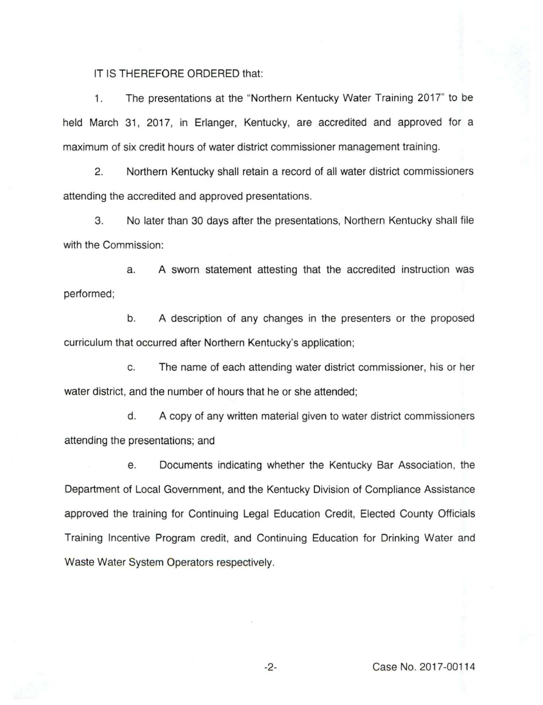IT IS THEREFORE ORDERED that:

1. The presentations at the "Northern Kentucky Water Training 2017" to be held March 31, 2017, in Erlanger, Kentucky, are accredited and approved for a maximum of six credit hours of water district commissioner management training.

2. Northern Kentucky shall retain a record of all water district commissioners attending the accredited and approved presentations.

3. No later than 30 days after the presentations, Northern Kentucky shall file with the Commission:

a. A sworn statement attesting that the accredited instruction was performed;

b. A description of any changes in the presenters or the proposed curriculum that occurred after Northern Kentucky's application;

c. The name of each attending water district commissioner, his or her water district, and the number of hours that he or she attended;

d. A copy of any written material given to water district commissioners attending the presentations; and

e. Documents indicating whether the Kentucky Bar Association, the Department of Local Government, and the Kentucky Division of Compliance Assistance approved the training for Continuing Legal Education Credit, Elected County Officials Training Incentive Program credit, and Continuing Education for Drinking Water and Waste Water System Operators respectively.

-2- Case No. 2017-00114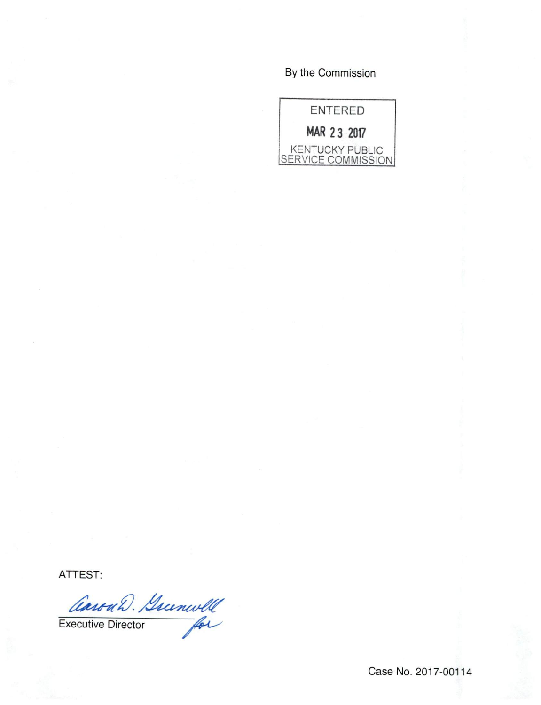## By the Commission

ENTERED MAR 2 3 2017 KENTUCKY PUBLIC SERVICE COMMISSION

ATTEST:<br>CaronD. Sumwell Executive Director

Case No. 2017-00114